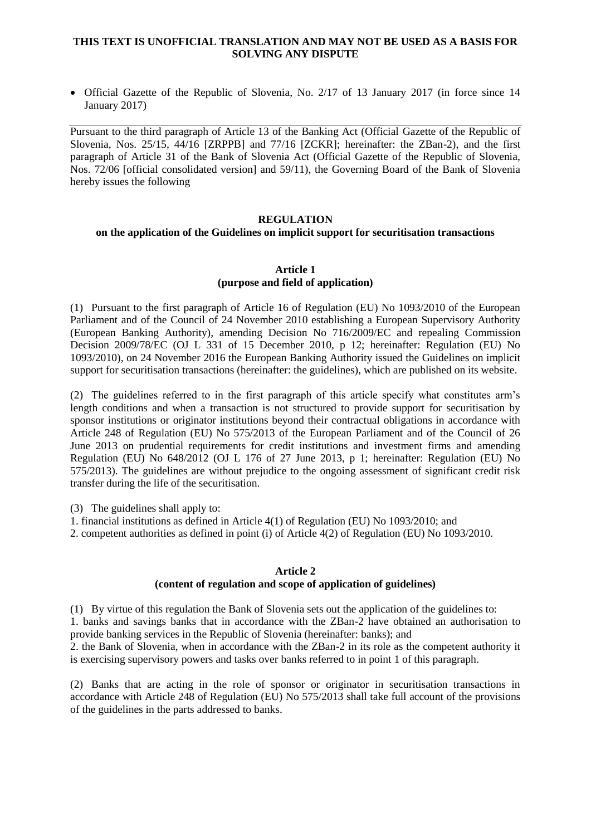## **THIS TEXT IS UNOFFICIAL TRANSLATION AND MAY NOT BE USED AS A BASIS FOR SOLVING ANY DISPUTE**

 Official Gazette of the Republic of Slovenia, No. 2/17 of 13 January 2017 (in force since 14 January 2017)

Pursuant to the third paragraph of Article 13 of the Banking Act (Official Gazette of the Republic of Slovenia, Nos. 25/15, 44/16 [ZRPPB] and 77/16 [ZCKR]; hereinafter: the ZBan-2), and the first paragraph of Article 31 of the Bank of Slovenia Act (Official Gazette of the Republic of Slovenia, Nos. 72/06 [official consolidated version] and 59/11), the Governing Board of the Bank of Slovenia hereby issues the following

#### **REGULATION**

# **on the application of the Guidelines on implicit support for securitisation transactions**

## **Article 1 (purpose and field of application)**

(1) Pursuant to the first paragraph of Article 16 of Regulation (EU) No 1093/2010 of the European Parliament and of the Council of 24 November 2010 establishing a European Supervisory Authority (European Banking Authority), amending Decision No 716/2009/EC and repealing Commission Decision 2009/78/EC (OJ L 331 of 15 December 2010, p 12; hereinafter: Regulation (EU) No 1093/2010), on 24 November 2016 the European Banking Authority issued the Guidelines on implicit support for securitisation transactions (hereinafter: the guidelines), which are published on its website.

(2) The guidelines referred to in the first paragraph of this article specify what constitutes arm's length conditions and when a transaction is not structured to provide support for securitisation by sponsor institutions or originator institutions beyond their contractual obligations in accordance with Article 248 of Regulation (EU) No 575/2013 of the European Parliament and of the Council of 26 June 2013 on prudential requirements for credit institutions and investment firms and amending Regulation (EU) No 648/2012 (OJ L 176 of 27 June 2013, p 1; hereinafter: Regulation (EU) No 575/2013). The guidelines are without prejudice to the ongoing assessment of significant credit risk transfer during the life of the securitisation.

(3) The guidelines shall apply to:

1. financial institutions as defined in Article 4(1) of Regulation (EU) No 1093/2010; and

2. competent authorities as defined in point (i) of Article 4(2) of Regulation (EU) No 1093/2010.

#### **Article 2**

## **(content of regulation and scope of application of guidelines)**

(1) By virtue of this regulation the Bank of Slovenia sets out the application of the guidelines to: 1. banks and savings banks that in accordance with the ZBan-2 have obtained an authorisation to provide banking services in the Republic of Slovenia (hereinafter: banks); and

2. the Bank of Slovenia, when in accordance with the ZBan-2 in its role as the competent authority it is exercising supervisory powers and tasks over banks referred to in point 1 of this paragraph.

(2) Banks that are acting in the role of sponsor or originator in securitisation transactions in accordance with Article 248 of Regulation (EU) No 575/2013 shall take full account of the provisions of the guidelines in the parts addressed to banks.